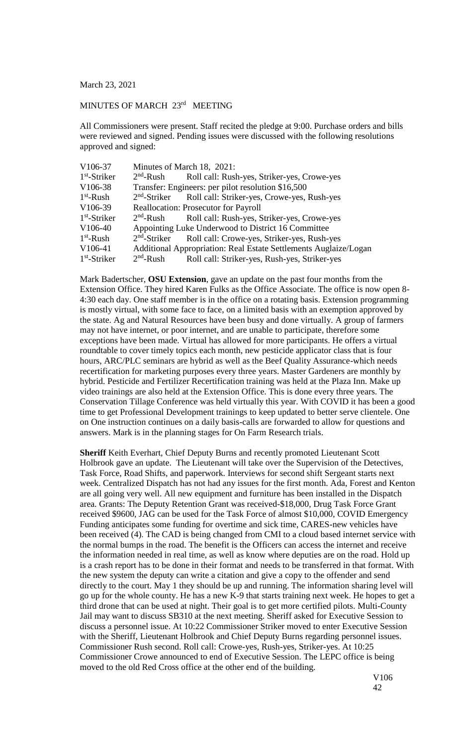March 23, 2021

## MINUTES OF MARCH 23<sup>rd</sup> MEETING

All Commissioners were present. Staff recited the pledge at 9:00. Purchase orders and bills were reviewed and signed. Pending issues were discussed with the following resolutions approved and signed:

| V106-37              | Minutes of March 18, 2021:                         |                                                                      |
|----------------------|----------------------------------------------------|----------------------------------------------------------------------|
| $1st$ -Striker       | $2nd$ -Rush                                        | Roll call: Rush-yes, Striker-yes, Crowe-yes                          |
| V106-38              | Transfer: Engineers: per pilot resolution \$16,500 |                                                                      |
| $1st$ -Rush          |                                                    | 2 <sup>nd</sup> -Striker Roll call: Striker-yes, Crowe-yes, Rush-yes |
| V <sub>106</sub> -39 | <b>Reallocation: Prosecutor for Payroll</b>        |                                                                      |
| $1st$ -Striker       | $2nd$ -Rush                                        | Roll call: Rush-yes, Striker-yes, Crowe-yes                          |
| V106-40              |                                                    | Appointing Luke Underwood to District 16 Committee                   |
| $1st$ -Rush          | $2nd$ -Striker                                     | Roll call: Crowe-yes, Striker-yes, Rush-yes                          |
| V106-41              |                                                    | Additional Appropriation: Real Estate Settlements Auglaize/Logan     |
| $1st$ -Striker       | $2nd$ -Rush                                        | Roll call: Striker-yes, Rush-yes, Striker-yes                        |

Mark Badertscher, **OSU Extension**, gave an update on the past four months from the Extension Office. They hired Karen Fulks as the Office Associate. The office is now open 8- 4:30 each day. One staff member is in the office on a rotating basis. Extension programming is mostly virtual, with some face to face, on a limited basis with an exemption approved by the state. Ag and Natural Resources have been busy and done virtually. A group of farmers may not have internet, or poor internet, and are unable to participate, therefore some exceptions have been made. Virtual has allowed for more participants. He offers a virtual roundtable to cover timely topics each month, new pesticide applicator class that is four hours, ARC/PLC seminars are hybrid as well as the Beef Quality Assurance-which needs recertification for marketing purposes every three years. Master Gardeners are monthly by hybrid. Pesticide and Fertilizer Recertification training was held at the Plaza Inn. Make up video trainings are also held at the Extension Office. This is done every three years. The Conservation Tillage Conference was held virtually this year. With COVID it has been a good time to get Professional Development trainings to keep updated to better serve clientele. One on One instruction continues on a daily basis-calls are forwarded to allow for questions and answers. Mark is in the planning stages for On Farm Research trials.

**Sheriff** Keith Everhart, Chief Deputy Burns and recently promoted Lieutenant Scott Holbrook gave an update. The Lieutenant will take over the Supervision of the Detectives, Task Force, Road Shifts, and paperwork. Interviews for second shift Sergeant starts next week. Centralized Dispatch has not had any issues for the first month. Ada, Forest and Kenton are all going very well. All new equipment and furniture has been installed in the Dispatch area. Grants: The Deputy Retention Grant was received-\$18,000, Drug Task Force Grant received \$9600, JAG can be used for the Task Force of almost \$10,000, COVID Emergency Funding anticipates some funding for overtime and sick time, CARES-new vehicles have been received (4). The CAD is being changed from CMI to a cloud based internet service with the normal bumps in the road. The benefit is the Officers can access the internet and receive the information needed in real time, as well as know where deputies are on the road. Hold up is a crash report has to be done in their format and needs to be transferred in that format. With the new system the deputy can write a citation and give a copy to the offender and send directly to the court. May 1 they should be up and running. The information sharing level will go up for the whole county. He has a new K-9 that starts training next week. He hopes to get a third drone that can be used at night. Their goal is to get more certified pilots. Multi-County Jail may want to discuss SB310 at the next meeting. Sheriff asked for Executive Session to discuss a personnel issue. At 10:22 Commissioner Striker moved to enter Executive Session with the Sheriff, Lieutenant Holbrook and Chief Deputy Burns regarding personnel issues. Commissioner Rush second. Roll call: Crowe-yes, Rush-yes, Striker-yes. At 10:25 Commissioner Crowe announced to end of Executive Session. The LEPC office is being moved to the old Red Cross office at the other end of the building.